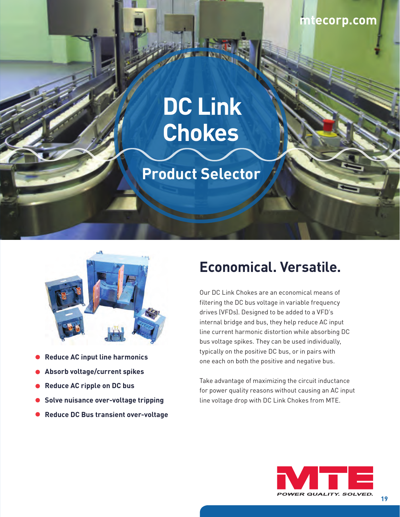### **[mtecorp.com](http://mtecorp.com/)**

# **DC Link Chokes**

## **Product Selector**



- **Reduce AC input line harmonics**
- **Absorb voltage/current spikes**
- **Reduce AC ripple on DC bus**
- **Solve nuisance over-voltage tripping**
- **Reduce DC Bus transient over-voltage**

## **Economical. Versatile.**

Our DC Link Chokes are an economical means of filtering the DC bus voltage in variable frequency drives (VFDs). Designed to be added to a VFD's internal bridge and bus, they help reduce AC input line current harmonic distortion while absorbing DC bus voltage spikes. They can be used individually, typically on the positive DC bus, or in pairs with one each on both the positive and negative bus.

Take advantage of maximizing the circuit inductance for power quality reasons without causing an AC input line voltage drop with DC Link Chokes from MTE.

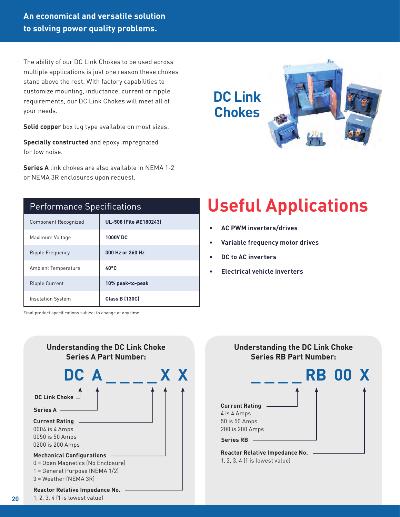**An economical and versatile solution to solving power quality problems.**

The ability of our DC Link Chokes to be used across multiple applications is just one reason these chokes stand above the rest. With factory capabilities to customize mounting, inductance, current or ripple requirements, our DC Link Chokes will meet all of your needs.

**Solid copper** box lug type available on most sizes.

**Specially constructed** and epoxy impregnated for low noise.

**Series A** link chokes are also available in NEMA 1-2 or NEMA 3R enclosures upon request.



#### Performance Specifications

| <b>Component Recognized</b> | UL-508 (File #E180243) |
|-----------------------------|------------------------|
| Maximum Voltage             | <b>1000VDC</b>         |
| Ripple Frequency            | 300 Hz or 360 Hz       |
| <b>Ambient Temperature</b>  | $40^{\circ}$ C         |
| <b>Ripple Current</b>       | 10% peak-to-peak       |
| <b>Insulation System</b>    | <b>Class B (130C)</b>  |

Final product specifications subject to change at any time.



## **Understanding the DC Link Choke Series RB Part Number: \_ \_ \_ \_ RB 00 X**



1, 2, 3, 4 (1 is lowest value)

**• AC PWM inverters/drives**

**• Electrical vehicle inverters**

**• DC to AC inverters**

**• Variable frequency motor drives**

 **Useful Applications**